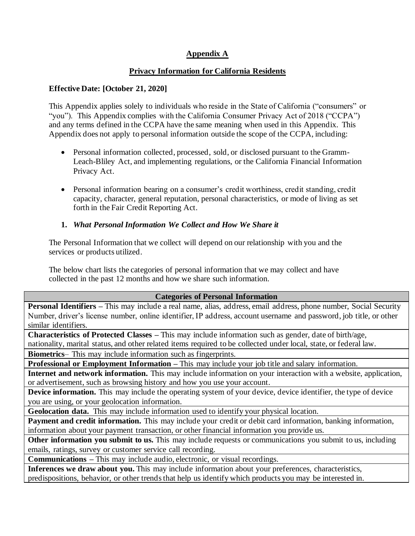# **Appendix A**

## **Privacy Information for California Residents**

#### **Effective Date: [October 21, 2020]**

This Appendix applies solely to individuals who reside in the State of California ("consumers" or "you"). This Appendix complies with the California Consumer Privacy Act of 2018 ("CCPA") and any terms defined in the CCPA have the same meaning when used in this Appendix. This Appendix does not apply to personal information outside the scope of the CCPA, including:

- Personal information collected, processed, sold, or disclosed pursuant to the Gramm-Leach-Bliley Act, and implementing regulations, or the California Financial Information Privacy Act.
- Personal information bearing on a consumer's credit worthiness, credit standing, credit capacity, character, general reputation, personal characteristics, or mode of living as set forth in the Fair Credit Reporting Act.

#### **1.** *What Personal Information We Collect and How We Share it*

The Personal Information that we collect will depend on our relationship with you and the services or products utilized.

The below chart lists the categories of personal information that we may collect and have collected in the past 12 months and how we share such information.

#### **Categories of Personal Information**

**Personal Identifiers –** This may include a real name, alias, address, email address, phone number, Social Security Number, driver's license number, online identifier, IP address, account username and password, job title, or other similar identifiers.

**Characteristics of Protected Classes –** This may include information such as gender, date of birth/age,

nationality, marital status, and other related items required to be collected under local, state, or federal law.

**Biometrics**– This may include information such as fingerprints.

**Professional or Employment Information –** This may include your job title and salary information.

**Internet and network information.** This may include information on your interaction with a website, application, or advertisement, such as browsing history and how you use your account.

**Device information.** This may include the operating system of your device, device identifier, the type of device you are using, or your geolocation information.

**Geolocation data.** This may include information used to identify your physical location.

**Payment and credit information.** This may include your credit or debit card information, banking information, information about your payment transaction, or other financial information you provide us.

**Other information you submit to us.** This may include requests or communications you submit to us, including emails, ratings, survey or customer service call recording.

**Communications –** This may include audio, electronic, or visual recordings.

**Inferences we draw about you.** This may include information about your preferences, characteristics, predispositions, behavior, or other trends that help us identify which products you may be interested in.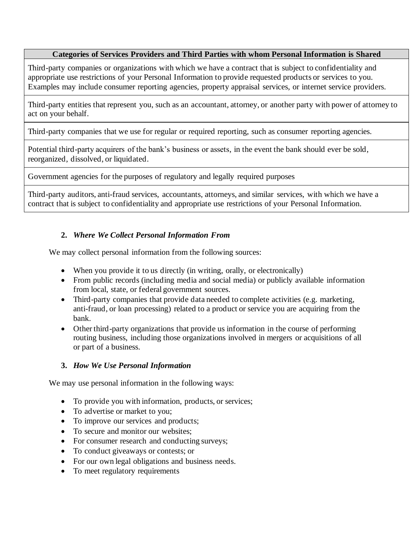#### **Categories of Services Providers and Third Parties with whom Personal Information is Shared**

Third-party companies or organizations with which we have a contract that is subject to confidentiality and appropriate use restrictions of your Personal Information to provide requested products or services to you. Examples may include consumer reporting agencies, property appraisal services, or internet service providers.

Third-party entities that represent you, such as an accountant, attorney, or another party with power of attorney to act on your behalf.

Third-party companies that we use for regular or required reporting, such as consumer reporting agencies.

Potential third-party acquirers of the bank's business or assets, in the event the bank should ever be sold, reorganized, dissolved, or liquidated.

Government agencies for the purposes of regulatory and legally required purposes

Third-party auditors, anti-fraud services, accountants, attorneys, and similar services, with which we have a contract that is subject to confidentiality and appropriate use restrictions of your Personal Information.

## **2.** *Where We Collect Personal Information From*

We may collect personal information from the following sources:

- When you provide it to us directly (in writing, orally, or electronically)
- From public records (including media and social media) or publicly available information from local, state, or federal government sources.
- Third-party companies that provide data needed to complete activities (e.g. marketing, anti-fraud, or loan processing) related to a product or service you are acquiring from the bank.
- Other third-party organizations that provide us information in the course of performing routing business, including those organizations involved in mergers or acquisitions of all or part of a business.

## **3.** *How We Use Personal Information*

We may use personal information in the following ways:

- To provide you with information, products, or services;
- To advertise or market to you;
- To improve our services and products;
- To secure and monitor our websites:
- For consumer research and conducting surveys;
- To conduct give a ways or contests; or
- For our own legal obligations and business needs.
- To meet regulatory requirements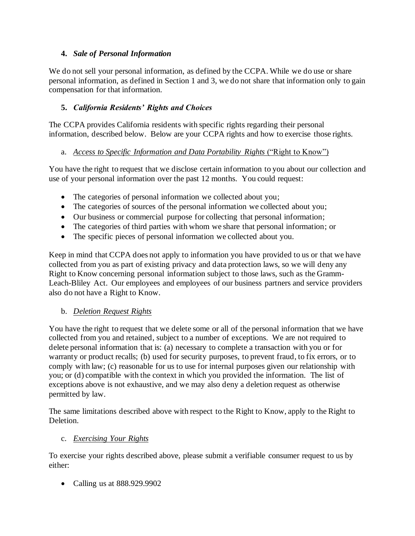# **4.** *Sale of Personal Information*

We do not sell your personal information, as defined by the CCPA. While we do use or share personal information, as defined in Section 1 and 3, we do not share that information only to gain compensation for that information.

# **5.** *California Residents' Rights and Choices*

The CCPA provides California residents with specific rights regarding their personal information, described below. Below are your CCPA rights and how to exercise those rights.

# a. *Access to Specific Information and Data Portability Rights* ("Right to Know")

You have the right to request that we disclose certain information to you about our collection and use of your personal information over the past 12 months. You could request:

- The categories of personal information we collected about you;
- The categories of sources of the personal information we collected about you;
- Our business or commercial purpose for collecting that personal information;
- The categories of third parties with whom we share that personal information; or
- The specific pieces of personal information we collected about you.

Keep in mind that CCPA does not apply to information you have provided to us or that we have collected from you as part of existing privacy and data protection laws, so we will deny any Right to Know concerning personal information subject to those laws, such as the Gramm-Leach-Bliley Act. Our employees and employees of our business partners and service providers also do not have a Right to Know.

## b. *Deletion Request Rights*

You have the right to request that we delete some or all of the personal information that we have collected from you and retained, subject to a number of exceptions. We are not required to delete personal information that is: (a) necessary to complete a transaction with you or for warranty or product recalls; (b) used for security purposes, to prevent fraud, to fix errors, or to comply with law; (c) reasonable for us to use for internal purposes given our relationship with you; or (d) compatible with the context in which you provided the information. The list of exceptions above is not exhaustive, and we may also deny a deletion request as otherwise permitted by law.

The same limitations described above with respect to the Right to Know, apply to the Right to Deletion.

## c. *Exercising Your Rights*

To exercise your rights described above, please submit a verifiable consumer request to us by either:

• Calling us at 888.929.9902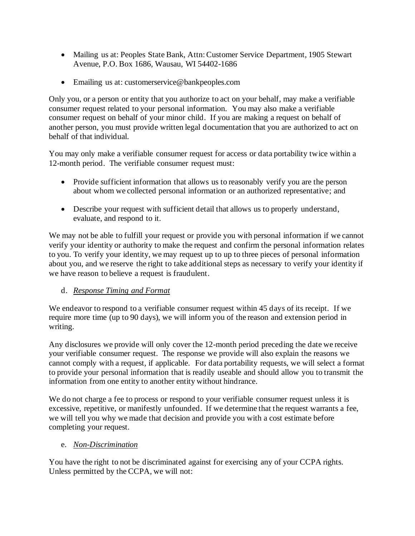- Mailing us at: Peoples State Bank, Attn: Customer Service Department, 1905 Stewart Avenue, P.O. Box 1686, Wausau, WI 54402-1686
- Emailing us at: customerservice@bankpeoples.com

Only you, or a person or entity that you authorize to act on your behalf, may make a verifiable consumer request related to your personal information. You may also make a verifiable consumer request on behalf of your minor child. If you are making a request on behalf of another person, you must provide written legal documentation that you are authorized to act on behalf of that individual.

You may only make a verifiable consumer request for access or data portability twice within a 12-month period. The verifiable consumer request must:

- Provide sufficient information that allows us to reasonably verify you are the person about whom we collected personal information or an authorized representative; and
- Describe your request with sufficient detail that allows us to properly understand, evaluate, and respond to it.

We may not be able to fulfill your request or provide you with personal information if we cannot verify your identity or authority to make the request and confirm the personal information relates to you. To verify your identity, we may request up to up to three pieces of personal information about you, and we reserve the right to take additional steps as necessary to verify your identity if we have reason to believe a request is fraudulent.

## d. *Response Timing and Format*

We endeavor to respond to a verifiable consumer request within 45 days of its receipt. If we require more time (up to 90 days), we will inform you of the reason and extension period in writing.

Any disclosures we provide will only cover the 12-month period preceding the date we receive your verifiable consumer request. The response we provide will also explain the reasons we cannot comply with a request, if applicable. For data portability requests, we will select a format to provide your personal information that is readily useable and should allow you to transmit the information from one entity to another entity without hindrance.

We do not charge a fee to process or respond to your verifiable consumer request unless it is excessive, repetitive, or manifestly unfounded. If we determine that the request warrants a fee, we will tell you why we made that decision and provide you with a cost estimate before completing your request.

## e. *Non-Discrimination*

You have the right to not be discriminated against for exercising any of your CCPA rights. Unless permitted by the CCPA, we will not: